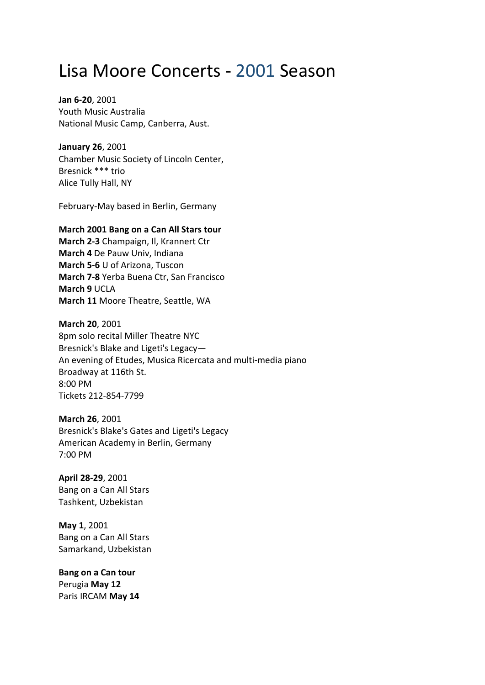## Lisa Moore Concerts ‐ 2001 Season

**Jan 6‐20**, 2001 Youth Music Australia National Music Camp, Canberra, Aust.

**January 26**, 2001 Chamber Music Society of Lincoln Center, Bresnick \*\*\* trio Alice Tully Hall, NY

February‐May based in Berlin, Germany

## **March 2001 Bang on a Can All Stars tour**

**March 2‐3** Champaign, Il, Krannert Ctr **March 4** De Pauw Univ, Indiana **March 5‐6** U of Arizona, Tuscon **March 7‐8** Yerba Buena Ctr, San Francisco **March 9** UCLA **March 11** Moore Theatre, Seattle, WA

**March 20**, 2001 8pm solo recital Miller Theatre NYC Bresnick's Blake and Ligeti's Legacy— An evening of Etudes, Musica Ricercata and multi‐media piano Broadway at 116th St. 8:00 PM Tickets 212‐854‐7799

**March 26**, 2001 Bresnick's Blake's Gates and Ligeti's Legacy American Academy in Berlin, Germany 7:00 PM

**April 28‐29**, 2001 Bang on a Can All Stars Tashkent, Uzbekistan

**May 1**, 2001 Bang on a Can All Stars Samarkand, Uzbekistan

**Bang on a Can tour** Perugia **May 12** Paris IRCAM **May 14**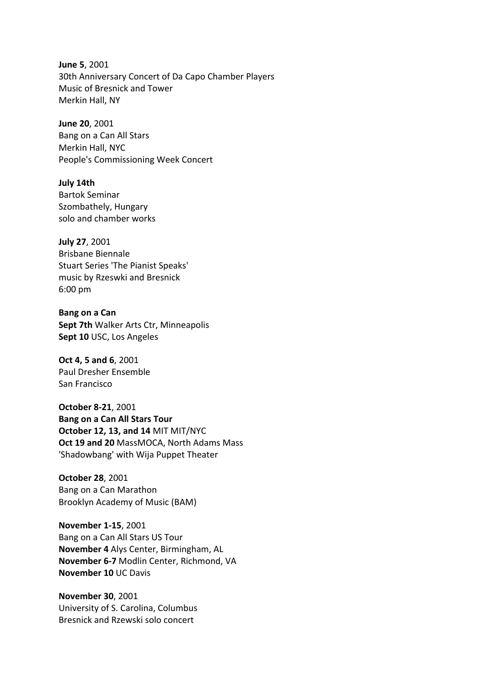**June 5**, 2001 30th Anniversary Concert of Da Capo Chamber Players Music of Bresnick and Tower Merkin Hall, NY

**June 20**, 2001 Bang on a Can All Stars Merkin Hall, NYC People's Commissioning Week Concert

**July 14th** Bartok Seminar Szombathely, Hungary solo and chamber works

**July 27**, 2001 Brisbane Biennale Stuart Series 'The Pianist Speaks' music by Rzeswki and Bresnick 6:00 pm

**Bang on a Can Sept 7th** Walker Arts Ctr, Minneapolis **Sept 10** USC, Los Angeles

**Oct 4, 5 and 6**, 2001 Paul Dresher Ensemble San Francisco

**October 8‐21**, 2001 **Bang on a Can All Stars Tour October 12, 13, and 14** MIT MIT/NYC **Oct 19 and 20** MassMOCA, North Adams Mass 'Shadowbang' with Wija Puppet Theater

**October 28**, 2001 Bang on a Can Marathon Brooklyn Academy of Music (BAM)

**November 1‐15**, 2001 Bang on a Can All Stars US Tour **November 4** Alys Center, Birmingham, AL **November 6‐7** Modlin Center, Richmond, VA **November 10** UC Davis

**November 30**, 2001 University of S. Carolina, Columbus Bresnick and Rzewski solo concert